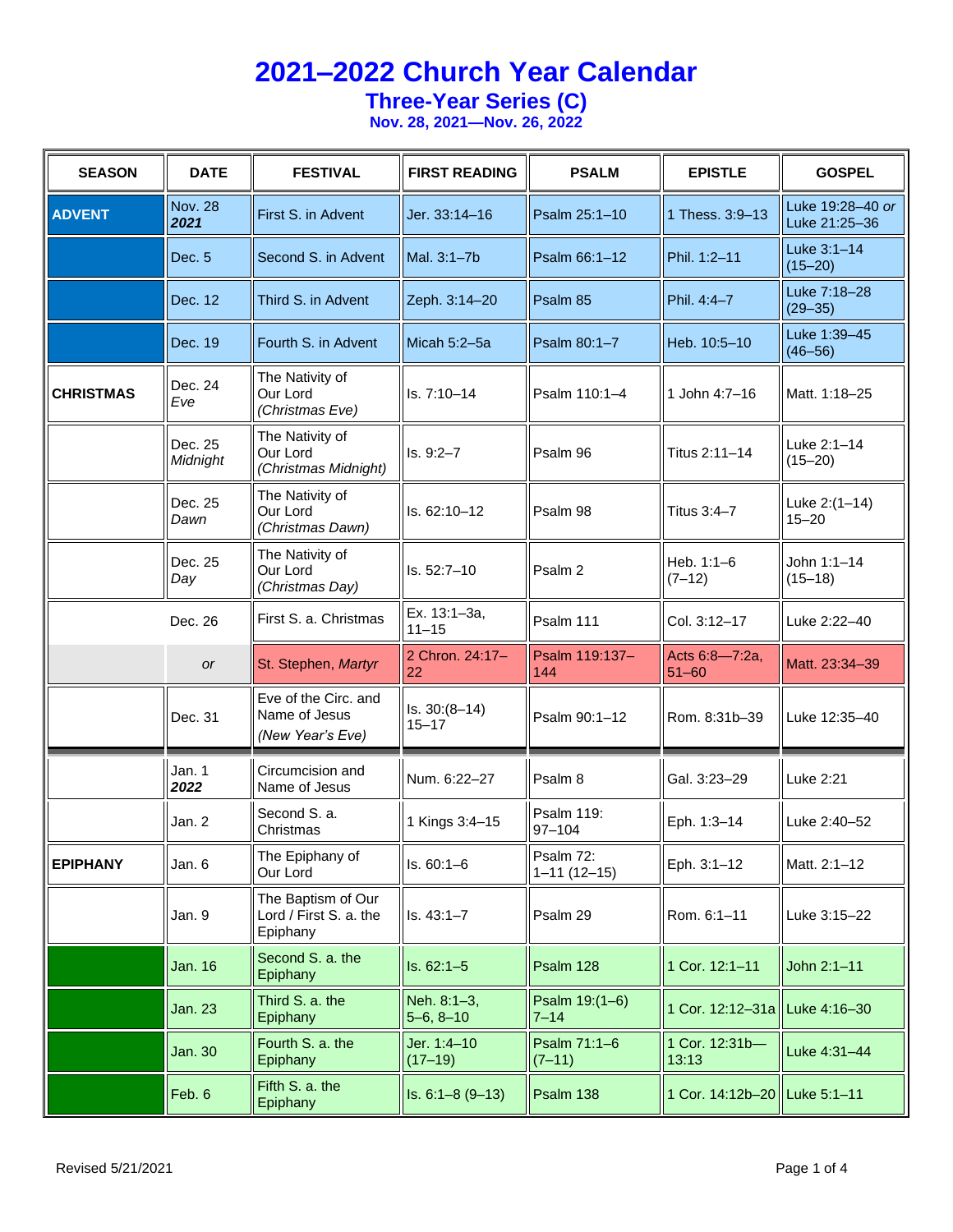#### **Three-Year Series (C)**

| <b>SEASON</b>    | <b>DATE</b>         | <b>FESTIVAL</b>                                           | <b>FIRST READING</b>         | <b>PSALM</b>                   | <b>EPISTLE</b>                | <b>GOSPEL</b>                     |
|------------------|---------------------|-----------------------------------------------------------|------------------------------|--------------------------------|-------------------------------|-----------------------------------|
| <b>ADVENT</b>    | Nov. 28<br>2021     | First S. in Advent                                        | Jer. 33:14-16                | Psalm 25:1-10                  | 1 Thess, 3:9-13               | Luke 19:28-40 or<br>Luke 21:25-36 |
|                  | Dec. 5              | Second S. in Advent                                       | Mal. 3:1-7b                  | Psalm 66:1-12                  | Phil. 1:2-11                  | Luke 3:1-14<br>$(15 - 20)$        |
|                  | Dec. 12             | Third S. in Advent                                        | Zeph. 3:14-20                | Psalm 85                       | Phil. 4:4-7                   | Luke 7:18-28<br>$(29 - 35)$       |
|                  | Dec. 19             | Fourth S. in Advent                                       | Micah 5:2-5a                 | Psalm 80:1-7                   | Heb. 10:5-10                  | Luke 1:39-45<br>$(46 - 56)$       |
| <b>CHRISTMAS</b> | Dec. 24<br>Eve      | The Nativity of<br>Our Lord<br>(Christmas Eve)            | Is. 7:10-14                  | Psalm 110:1-4                  | 1 John 4:7-16                 | Matt. 1:18-25                     |
|                  | Dec. 25<br>Midnight | The Nativity of<br>Our Lord<br>(Christmas Midnight)       | $Is. 9:2 - 7$                | Psalm 96                       | Titus 2:11-14                 | Luke 2:1-14<br>$(15 - 20)$        |
|                  | Dec. 25<br>Dawn     | The Nativity of<br>Our Lord<br>(Christmas Dawn)           | Is. 62:10-12                 | Psalm 98                       | Titus 3:4-7                   | Luke 2:(1-14)<br>$15 - 20$        |
|                  | Dec. 25<br>Day      | The Nativity of<br>Our Lord<br>(Christmas Day)            | Is. 52:7-10                  | Psalm 2                        | Heb. $1:1-6$<br>$(7-12)$      | John 1:1-14<br>$(15 - 18)$        |
|                  | Dec. 26             | First S. a. Christmas                                     | Ex. 13:1-3a,<br>$11 - 15$    | Psalm 111                      | Col. 3:12-17                  | Luke 2:22-40                      |
|                  | <b>or</b>           | St. Stephen, Martyr                                       | 2 Chron. 24:17-<br>22        | Psalm 119:137-<br>144          | Acts 6:8-7:2a,<br>$51 - 60$   | Matt. 23:34-39                    |
|                  | Dec. 31             | Eve of the Circ. and<br>Name of Jesus<br>(New Year's Eve) | $Is. 30:(8-14)$<br>$15 - 17$ | Psalm 90:1-12                  | Rom. 8:31b-39                 | Luke 12:35-40                     |
|                  | Jan. 1<br>2022      | Circumcision and<br>Name of Jesus                         | Num. 6:22-27                 | Psalm 8                        | Gal. 3:23-29                  | Luke 2:21                         |
|                  | Jan. 2              | Second S. a.<br>Christmas                                 | 1 Kings 3:4-15               | Psalm 119:<br>$97 - 104$       | Eph. 1:3-14                   | Luke 2:40-52                      |
| <b>EPIPHANY</b>  | Jan. 6              | The Epiphany of<br>Our Lord                               | $Is. 60:1-6$                 | Psalm 72:<br>$1 - 11(12 - 15)$ | Eph. 3:1-12                   | Matt. 2:1-12                      |
|                  | Jan. 9              | The Baptism of Our<br>Lord / First S. a. the<br>Epiphany  | $Is. 43:1 - 7$               | Psalm 29                       | Rom. 6:1-11                   | Luke 3:15-22                      |
|                  | Jan. 16             | Second S. a. the<br>Epiphany                              | $Is. 62:1-5$                 | Psalm 128                      | 1 Cor. 12:1-11                | John 2:1-11                       |
|                  | Jan. 23             | Third S. a. the<br>Epiphany                               | Neh. 8:1-3,<br>$5-6, 8-10$   | Psalm 19:(1-6)<br>$7 - 14$     | 1 Cor. 12:12-31a Luke 4:16-30 |                                   |
|                  | Jan. 30             | Fourth S. a. the<br>Epiphany                              | Jer. 1:4-10<br>$(17-19)$     | Psalm 71:1-6<br>$(7-11)$       | 1 Cor. 12:31b-<br>13:13       | Luke 4:31-44                      |
|                  | Feb. 6              | Fifth S. a. the<br>Epiphany                               | $Is. 6:1-8(9-13)$            | Psalm 138                      | 1 Cor. 14:12b-20 Luke 5:1-11  |                                   |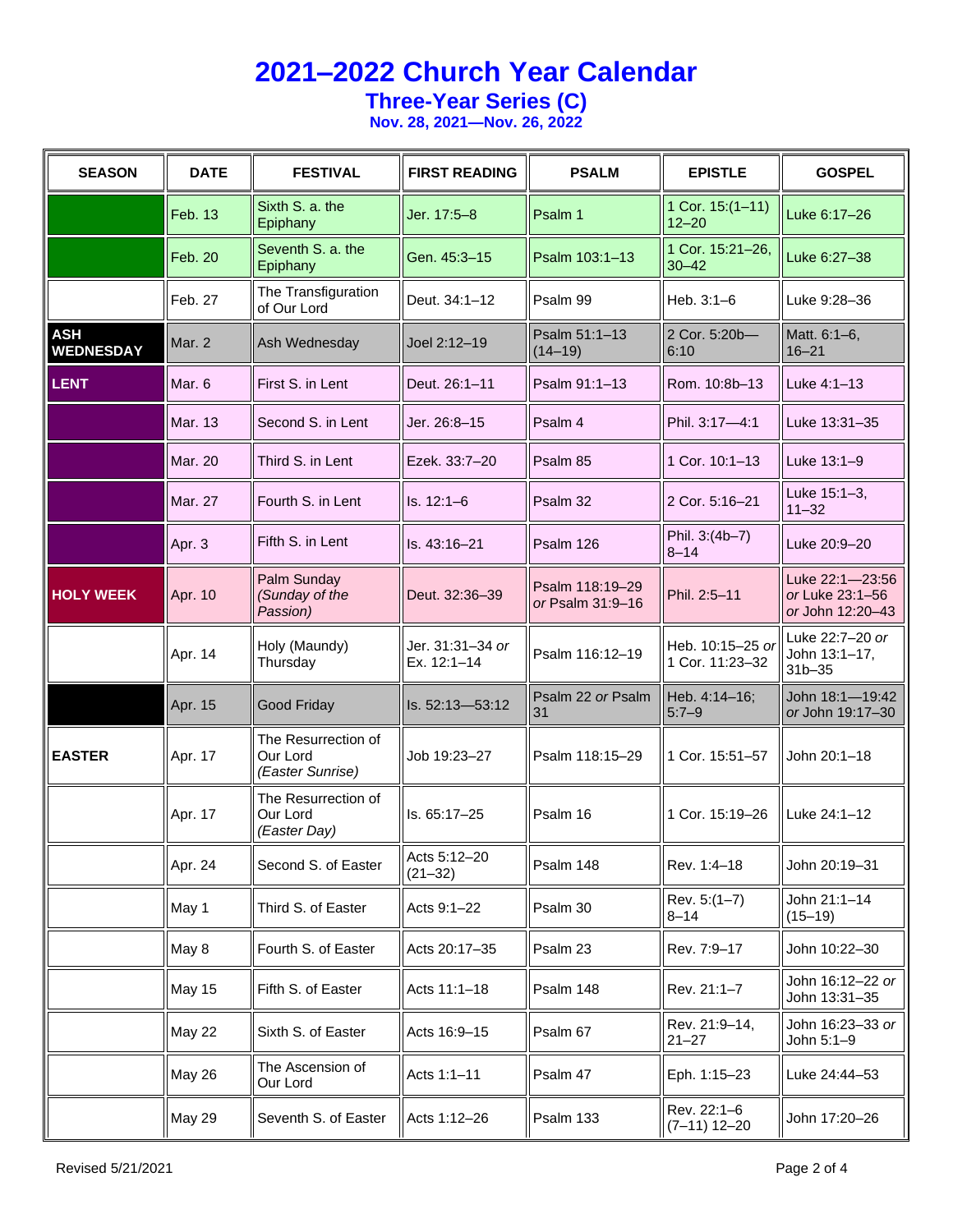**Three-Year Series (C)**

| <b>SEASON</b>                  | <b>DATE</b>    | <b>FESTIVAL</b>                                     | <b>FIRST READING</b>            | <b>PSALM</b>                        | <b>EPISTLE</b>                      | <b>GOSPEL</b>                                          |
|--------------------------------|----------------|-----------------------------------------------------|---------------------------------|-------------------------------------|-------------------------------------|--------------------------------------------------------|
|                                | Feb. 13        | Sixth S. a. the<br>Epiphany                         | Jer. 17:5-8                     | Psalm 1                             | 1 Cor. 15:(1-11)<br>$12 - 20$       | Luke 6:17-26                                           |
|                                | Feb. 20        | Seventh S. a. the<br>Epiphany                       | Gen. 45:3-15                    | Psalm 103:1-13                      | 1 Cor. 15:21-26,<br>$30 - 42$       | Luke 6:27-38                                           |
|                                | Feb. 27        | The Transfiguration<br>of Our Lord                  | Deut. 34:1-12                   | Psalm 99                            | Heb. $3:1-6$                        | Luke 9:28-36                                           |
| <b>ASH</b><br><b>WEDNESDAY</b> | Mar. 2         | Ash Wednesday                                       | Joel 2:12-19                    | Psalm 51:1-13<br>$(14-19)$          | 2 Cor. 5:20b-<br>6:10               | Matt. 6:1-6,<br>$16 - 21$                              |
| <b>LENT</b>                    | Mar. 6         | First S. in Lent                                    | Deut. 26:1-11                   | Psalm 91:1-13                       | Rom. 10:8b-13                       | Luke 4:1-13                                            |
|                                | <b>Mar. 13</b> | Second S. in Lent                                   | Jer. 26:8–15                    | Psalm 4                             | Phil. 3:17-4:1                      | Luke 13:31-35                                          |
|                                | <b>Mar. 20</b> | Third S. in Lent                                    | Ezek. 33:7-20                   | Psalm 85                            | 1 Cor. 10:1-13                      | Luke 13:1-9                                            |
|                                | Mar. 27        | Fourth S. in Lent                                   | $Is. 12:1-6$                    | Psalm 32                            | 2 Cor. 5:16-21                      | Luke 15:1-3,<br>$11 - 32$                              |
|                                | Apr. 3         | Fifth S. in Lent                                    | Is. 43:16-21                    | Psalm 126                           | Phil. 3:(4b-7)<br>$8 - 14$          | Luke 20:9-20                                           |
| <b>HOLY WEEK</b>               | Apr. 10        | Palm Sunday<br>(Sunday of the<br>Passion)           | Deut. 32:36-39                  | Psalm 118:19-29<br>or Psalm 31:9-16 | Phil. 2:5-11                        | Luke 22:1-23:56<br>or Luke 23:1-56<br>or John 12:20-43 |
|                                | Apr. 14        | Holy (Maundy)<br>Thursday                           | Jer. 31:31-34 or<br>Ex. 12:1-14 | Psalm 116:12-19                     | Heb. 10:15-25 or<br>1 Cor. 11:23-32 | Luke 22:7-20 or<br>John 13:1-17,<br>$31b - 35$         |
|                                | Apr. 15        | Good Friday                                         | Is. 52:13-53:12                 | Psalm 22 or Psalm<br>31             | Heb. 4:14-16;<br>$5:7 - 9$          | John 18:1-19:42<br>or John 19:17-30                    |
| <b>EASTER</b>                  | Apr. 17        | The Resurrection of<br>Our Lord<br>(Easter Sunrise) | Job 19:23–27                    | Psalm 118:15-29                     | 1 Cor. 15:51-57                     | John 20:1-18                                           |
|                                | Apr. 17        | The Resurrection of<br>Our Lord<br>(Easter Day)     | Is. 65:17-25                    | Psalm 16                            | 1 Cor. 15:19-26                     | Luke 24:1-12                                           |
|                                | Apr. 24        | Second S. of Easter                                 | Acts 5:12-20<br>$(21 - 32)$     | Psalm 148                           | Rev. 1:4-18                         | John 20:19-31                                          |
|                                | May 1          | Third S. of Easter                                  | Acts 9:1-22                     | Psalm 30                            | Rev. $5:(1-7)$<br>$8 - 14$          | John 21:1-14<br>$(15 - 19)$                            |
|                                | May 8          | Fourth S. of Easter                                 | Acts 20:17-35                   | Psalm 23                            | Rev. 7:9-17                         | John 10:22-30                                          |
|                                | May 15         | Fifth S. of Easter                                  | Acts 11:1-18                    | Psalm 148                           | Rev. 21:1-7                         | John 16:12-22 or<br>John 13:31-35                      |
|                                | <b>May 22</b>  | Sixth S. of Easter                                  | Acts 16:9-15                    | Psalm 67                            | Rev. 21:9-14,<br>$21 - 27$          | John 16:23-33 or<br>John 5:1-9                         |
|                                | May 26         | The Ascension of<br>Our Lord                        | Acts 1:1-11                     | Psalm 47                            | Eph. 1:15-23                        | Luke 24:44-53                                          |
|                                | May 29         | Seventh S. of Easter                                | Acts 1:12-26                    | Psalm 133                           | Rev. 22:1-6<br>$(7-11)$ 12-20       | John 17:20-26                                          |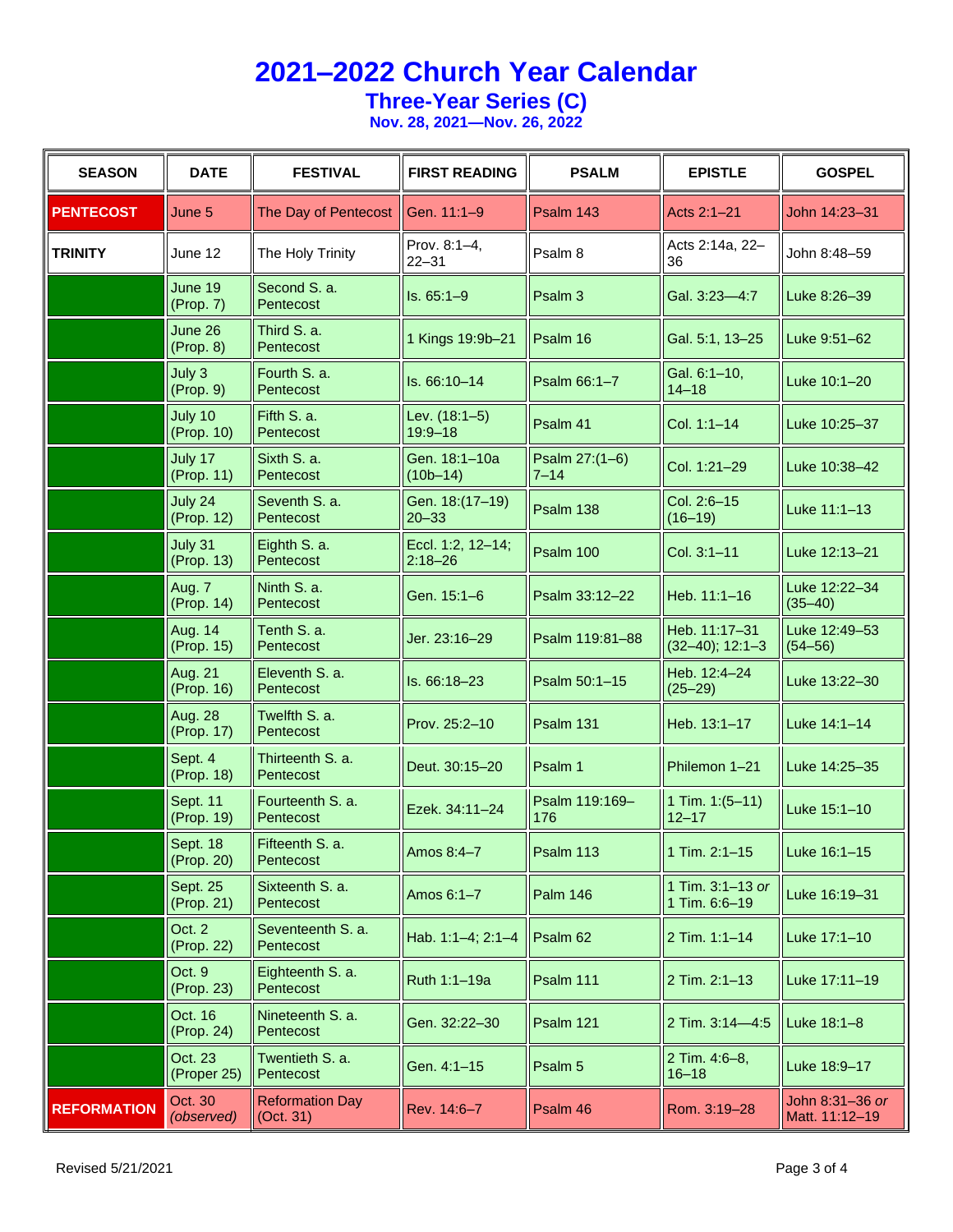**Three-Year Series (C)**

| <b>SEASON</b>      | <b>DATE</b>                  | <b>FESTIVAL</b>                             | <b>FIRST READING</b>             | <b>PSALM</b>               | <b>EPISTLE</b>                      | <b>GOSPEL</b>                     |
|--------------------|------------------------------|---------------------------------------------|----------------------------------|----------------------------|-------------------------------------|-----------------------------------|
| <b>PENTECOST</b>   | June 5                       | The Day of Pentecost                        | Gen. 11:1-9                      | Psalm 143                  | Acts 2:1-21                         | John 14:23-31                     |
| <b>TRINITY</b>     | June 12                      | The Holy Trinity                            | Prov. 8:1-4,<br>$22 - 31$        | Psalm <sub>8</sub>         | Acts 2:14a, 22-<br>36               | John 8:48-59                      |
|                    | June 19<br>(Prop. 7)         | Second S. a.<br>Pentecost                   | $Is. 65:1-9$                     | Psalm 3                    | Gal. 3:23-4:7                       | Luke 8:26-39                      |
|                    | June 26<br>(Prop. 8)         | Third S. a.<br>Pentecost                    | 1 Kings 19:9b-21                 | Psalm 16                   | Gal. 5:1, 13-25                     | Luke 9:51-62                      |
|                    | July 3<br>(Prop. 9)          | Fourth S. a.<br>Pentecost                   | Is. 66:10-14                     | Psalm 66:1-7               | Gal. 6:1-10,<br>$14 - 18$           | Luke 10:1-20                      |
|                    | July 10<br>(Prop. 10)        | Fifth S. a.<br>Pentecost                    | Lev. (18:1-5)<br>$19:9 - 18$     | Psalm 41                   | Col. 1:1-14                         | Luke 10:25-37                     |
|                    | July 17<br>(Prop. 11)        | Sixth S. a.<br>Pentecost                    | Gen. 18:1-10a<br>$(10b-14)$      | Psalm 27:(1-6)<br>$7 - 14$ | Col. 1:21-29                        | Luke 10:38-42                     |
|                    | July 24<br>(Prop. 12)        | Seventh S. a.<br>Pentecost                  | Gen. 18:(17-19)<br>$20 - 33$     | Psalm 138                  | Col. 2:6-15<br>$(16 - 19)$          | Luke 11:1-13                      |
|                    | July 31<br>(Prop. 13)        | Eighth S. a.<br>Pentecost                   | Eccl. 1:2, 12-14;<br>$2:18 - 26$ | Psalm 100                  | Col. 3:1-11                         | Luke 12:13-21                     |
|                    | Aug. 7<br>(Prop. 14)         | Ninth S. a.<br>Pentecost                    | Gen. 15:1-6                      | Psalm 33:12-22             | Heb. 11:1-16                        | Luke 12:22-34<br>$(35 - 40)$      |
|                    | Aug. 14<br>(Prop. 15)        | Tenth S. a.<br>Pentecost                    | Jer. 23:16-29                    | Psalm 119:81-88            | Heb. 11:17-31<br>$(32-40); 12:1-3$  | Luke 12:49-53<br>$(54 - 56)$      |
|                    | Aug. 21<br>(Prop. 16)        | Eleventh S. a.<br>Pentecost                 | Is. 66:18-23                     | Psalm 50:1-15              | Heb. 12:4-24<br>$(25 - 29)$         | Luke 13:22-30                     |
|                    | <b>Aug. 28</b><br>(Prop. 17) | Twelfth S. a.<br>Pentecost                  | Prov. 25:2-10                    | Psalm 131                  | Heb. 13:1-17                        | Luke 14:1-14                      |
|                    | Sept. 4<br>(Prop. 18)        | Thirteenth S. a.<br>Pentecost               | Deut. 30:15-20                   | Psalm 1                    | Philemon 1-21                       | Luke 14:25-35                     |
|                    | Sept. 11<br>(Prop. 19)       | Fourteenth S. a.<br>Pentecost               | Ezek. 34:11-24                   | Psalm 119:169-<br>176      | 1 Tim. $1:(5-11)$<br>$12 - 17$      | Luke 15:1-10                      |
|                    | Sept. 18<br>(Prop. 20)       | Fifteenth S. a.<br>Pentecost                | Amos 8:4-7                       | Psalm 113                  | 1 Tim. 2:1-15                       | Luke 16:1-15                      |
|                    | Sept. 25<br>(Prop. 21)       | Sixteenth S. a.<br>Pentecost                | Amos 6:1-7                       | <b>Palm 146</b>            | 1 Tim. $3:1-13$ or<br>1 Tim. 6:6-19 | Luke 16:19-31                     |
|                    | Oct. 2<br>(Prop. 22)         | Seventeenth S. a.<br>Pentecost              | Hab. 1:1-4; 2:1-4                | Psalm 62                   | 2 Tim. 1:1-14                       | Luke 17:1-10                      |
|                    | Oct. 9<br>(Prop. 23)         | Eighteenth S. a.<br>Pentecost               | Ruth 1:1-19a                     | Psalm 111                  | 2 Tim. 2:1-13                       | Luke 17:11-19                     |
|                    | Oct. 16<br>(Prop. 24)        | Nineteenth S. a.<br>Pentecost               | Gen. 32:22-30                    | Psalm 121                  | 2 Tim. 3:14-4:5                     | Luke $18:1-8$                     |
|                    | Oct. 23<br>(Proper 25)       | Twentieth S. a.<br>Pentecost                | Gen. 4:1-15                      | Psalm 5                    | 2 Tim. 4:6-8,<br>$16 - 18$          | Luke 18:9-17                      |
| <b>REFORMATION</b> | Oct. 30<br>(observed)        | <b>Reformation Day</b><br>$\vert$ (Oct. 31) | Rev. 14:6-7                      | Psalm 46                   | Rom. 3:19-28                        | John 8:31-36 or<br>Matt. 11:12-19 |